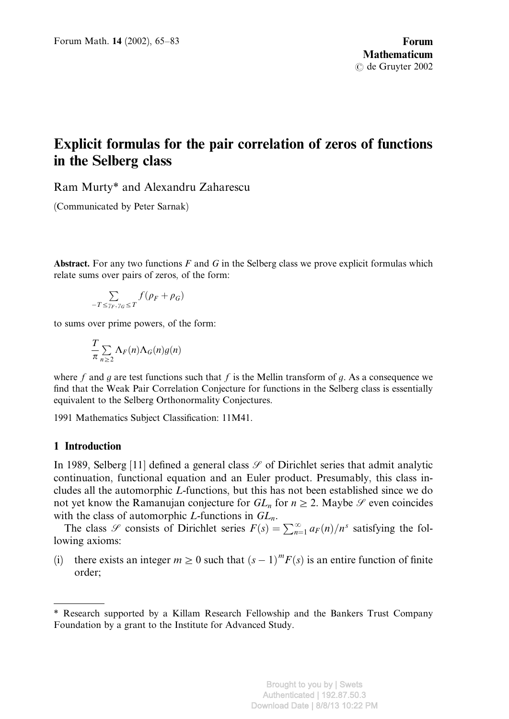# Explicit formulas for the pair correlation of zeros of functions in the Selberg class

Ram Murty\* and Alexandru Zaharescu

(Communicated by Peter Sarnak)

Abstract. For any two functions F and G in the Selberg class we prove explicit formulas which relate sums over pairs of zeros, of the form:

$$
\sum_{-T \le \gamma_F, \gamma_G \le T} f(\rho_F + \rho_G)
$$

to sums over prime powers, of the form:

$$
\frac{T}{\pi} \sum_{n \geq 2} \Lambda_F(n) \Lambda_G(n) g(n)
$$

where f and g are test functions such that f is the Mellin transform of g. As a consequence we find that the Weak Pair Correlation Conjecture for functions in the Selberg class is essentially equivalent to the Selberg Orthonormality Conjectures.

1991 Mathematics Subject Classification: 11M41.

# 1 Introduction

In 1989, Selberg [11] defined a general class  $\mathscr S$  of Dirichlet series that admit analytic continuation, functional equation and an Euler product. Presumably, this class includes all the automorphic L-functions, but this has not been established since we do not yet know the Ramanujan conjecture for  $GL_n$  for  $n\geq 2$ . Maybe  $\mathscr S$  even coincides with the class of automorphic L-functions in  $GL_n$ .

The class  $\mathscr S$  consists of Dirichlet series  $F(s) = \sum_{n=1}^{\infty} a_F(n)/n^s$  satisfying the following axioms:

(i) there exists an integer  $m \ge 0$  such that  $(s - 1)^m F(s)$  is an entire function of finite order;

<sup>\*</sup> Research supported by a Killam Research Fellowship and the Bankers Trust Company Foundation by a grant to the Institute for Advanced Study.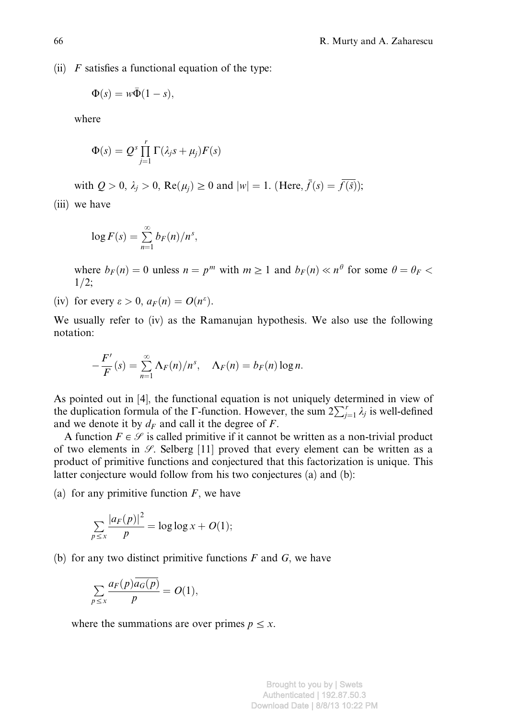(ii)  $F$  satisfies a functional equation of the type:

$$
\Phi(s) = w\overline{\Phi}(1-s),
$$

where

$$
\Phi(s) = Q^s \prod_{j=1}^r \Gamma(\lambda_j s + \mu_j) F(s)
$$

with  $Q > 0$ ,  $\lambda_i > 0$ ,  $\text{Re}(\mu_i) \ge 0$  and  $|w| = 1$ . (Here,  $\bar{f}(s) = \bar{f(\bar{s})}$ );

(iii) we have

$$
\log F(s) = \sum_{n=1}^{\infty} b_F(n)/n^s,
$$

where  $b_F(n) = 0$  unless  $n = p^m$  with  $m \ge 1$  and  $b_F(n) \ll n^\theta$  for some  $\theta = \theta_F$  $1/2;$ 

(iv) for every  $\varepsilon > 0$ ,  $a_F(n) = O(n^{\varepsilon})$ .

We usually refer to (iv) as the Ramanujan hypothesis. We also use the following notation:

$$
-\frac{F'}{F}(s)=\sum_{n=1}^{\infty}\Lambda_F(n)/n^s,\quad \Lambda_F(n)=b_F(n)\log n.
$$

As pointed out in [4], the functional equation is not uniquely determined in view of the duplication formula of the  $\Gamma$ -function. However, the sum  $2\sum_{j=1}^{r} \lambda_j$  is well-defined and we denote it by  $d_F$  and call it the degree of F.

A function  $F \in \mathcal{S}$  is called primitive if it cannot be written as a non-trivial product of two elements in  $\mathcal{S}$ . Selberg [11] proved that every element can be written as a product of primitive functions and conjectured that this factorization is unique. This latter conjecture would follow from his two conjectures (a) and (b):

(a) for any primitive function  $F$ , we have

$$
\sum_{p\leq x}\frac{|a_F(p)|^2}{p}=\log\log x+O(1);
$$

(b) for any two distinct primitive functions  $F$  and  $G$ , we have

$$
\sum_{p\leq x}\frac{a_F(p)\overline{a_G(p)}}{p}=O(1),
$$

where the summations are over primes  $p \leq x$ .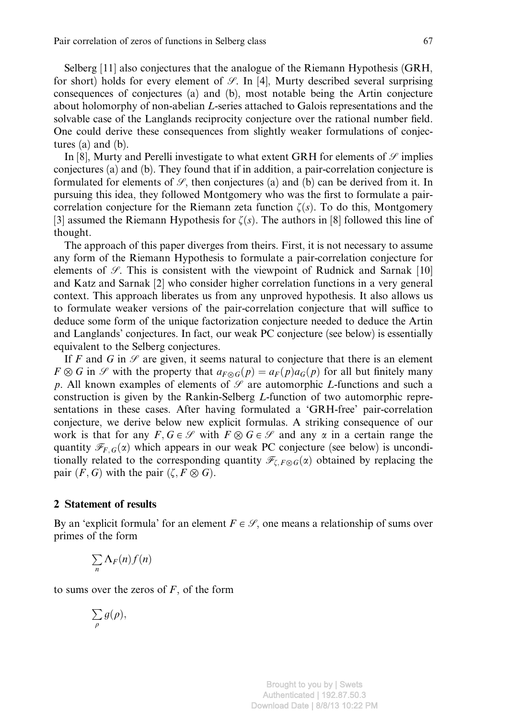Selberg [11] also conjectures that the analogue of the Riemann Hypothesis (GRH, for short) holds for every element of  $\mathcal{S}$ . In [4], Murty described several surprising consequences of conjectures (a) and (b), most notable being the Artin conjecture about holomorphy of non-abelian L-series attached to Galois representations and the solvable case of the Langlands reciprocity conjecture over the rational number field. One could derive these consequences from slightly weaker formulations of conjectures (a) and (b).

In [8], Murty and Perelli investigate to what extent GRH for elements of  $\mathcal{S}$  implies conjectures (a) and (b). They found that if in addition, a pair-correlation conjecture is formulated for elements of  $\mathcal{S}$ , then conjectures (a) and (b) can be derived from it. In pursuing this idea, they followed Montgomery who was the first to formulate a paircorrelation conjecture for the Riemann zeta function  $\zeta(s)$ . To do this, Montgomery [3] assumed the Riemann Hypothesis for  $\zeta(s)$ . The authors in [8] followed this line of thought.

The approach of this paper diverges from theirs. First, it is not necessary to assume any form of the Riemann Hypothesis to formulate a pair-correlation conjecture for elements of  $\mathscr{S}$ . This is consistent with the viewpoint of Rudnick and Sarnak [10] and Katz and Sarnak [2] who consider higher correlation functions in a very general context. This approach liberates us from any unproved hypothesis. It also allows us to formulate weaker versions of the pair-correlation conjecture that will suffice to deduce some form of the unique factorization conjecture needed to deduce the Artin and Langlands' conjectures. In fact, our weak PC conjecture (see below) is essentially equivalent to the Selberg conjectures.

If F and G in  $\mathscr S$  are given, it seems natural to conjecture that there is an element  $F \otimes G$  in  $\mathscr S$  with the property that  $a_{F \otimes G}(p) = a_F(p) a_G(p)$  for all but finitely many p. All known examples of elements of  $\mathcal G$  are automorphic L-functions and such a construction is given by the Rankin-Selberg L-function of two automorphic representations in these cases. After having formulated a 'GRH-free' pair-correlation conjecture, we derive below new explicit formulas. A striking consequence of our work is that for any  $F, G \in \mathcal{S}$  with  $F \otimes G \in \mathcal{S}$  and any  $\alpha$  in a certain range the quantity  $\mathcal{F}_{F,G}(x)$  which appears in our weak PC conjecture (see below) is unconditionally related to the corresponding quantity  $\mathcal{F}_{\mathcal{LF}\otimes\mathcal{G}}(\alpha)$  obtained by replacing the pair  $(F, G)$  with the pair  $(\zeta, F \otimes G)$ .

# 2 Statement of results

By an 'explicit formula' for an element  $F \in \mathcal{S}$ , one means a relationship of sums over primes of the form

$$
\sum_n \Lambda_F(n) f(n)
$$

to sums over the zeros of  $F$ , of the form

$$
\sum_{\rho}g(\rho),
$$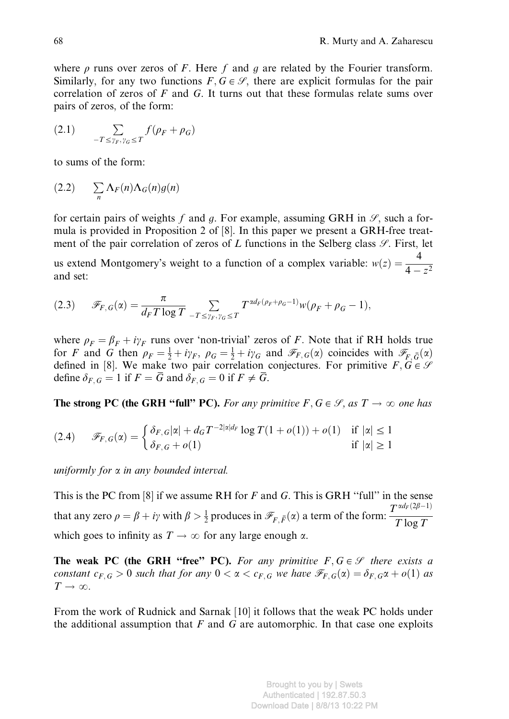where  $\rho$  runs over zeros of F. Here f and g are related by the Fourier transform. Similarly, for any two functions  $F, G \in \mathcal{S}$ , there are explicit formulas for the pair correlation of zeros of  $F$  and  $G$ . It turns out that these formulas relate sums over pairs of zeros, of the form:

$$
(2.1) \qquad \sum_{-T \le \gamma_F, \gamma_G \le T} f(\rho_F + \rho_G)
$$

to sums of the form:

$$
(2.2) \qquad \sum_{n} \Lambda_F(n) \Lambda_G(n) g(n)
$$

for certain pairs of weights f and g. For example, assuming GRH in  $\mathcal{S}$ , such a formula is provided in Proposition 2 of [8]. In this paper we present a GRH-free treatment of the pair correlation of zeros of L functions in the Selberg class  $\mathscr{S}$ . First, let

us extend Montgomery's weight to a function of a complex variable:  $w(z) = \frac{4}{4 - z^2}$ and set:

$$
(2.3) \qquad \mathscr{F}_{F,G}(\alpha) = \frac{\pi}{d_F T \log T} \sum_{-T \leq \gamma_F, \gamma_G \leq T} T^{\alpha d_F(\rho_F + \rho_G - 1)} w(\rho_F + \rho_G - 1),
$$

where  $\rho_F = \beta_F + i\gamma_F$  runs over 'non-trivial' zeros of F. Note that if RH holds true for F and G then  $\rho_F = \frac{1}{2} + i\gamma_F$ ,  $\rho_G = \frac{1}{2} + i\gamma_G$  and  $\mathcal{F}_{F,G}(\alpha)$  coincides with  $\mathcal{F}_{F,G}(\alpha)$ defined in [8]. We make two pair correlation conjectures. For primitive  $F, G \in \mathcal{S}$ define  $\delta_{F,G} = 1$  if  $F = \overline{G}$  and  $\delta_{F,G} = 0$  if  $F \neq \overline{G}$ .

**The strong PC (the GRH "full" PC).** For any primitive  $F, G \in \mathcal{S}$ , as  $T \to \infty$  one has

$$
(2.4) \qquad \mathscr{F}_{F,G}(\alpha) = \begin{cases} \delta_{F,G} |\alpha| + d_G T^{-2|\alpha|} d_F \log T (1 + o(1)) + o(1) & \text{if } |\alpha| \le 1 \\ \delta_{F,G} + o(1) & \text{if } |\alpha| \ge 1 \end{cases}
$$

uniformly for  $\alpha$  in any bounded interval.

This is the PC from  $[8]$  if we assume RH for F and G. This is GRH "full" in the sense that any zero  $\rho = \beta + i\gamma$  with  $\beta > \frac{1}{2}$  produces in  $\mathscr{F}_{F,\bar{F}}(\alpha)$  a term of the form:  $\frac{T^{\alpha d_F(2\beta-1)}}{T \log T}$ which goes to infinity as  $T \to \infty$  for any large enough  $\alpha$ .

The weak PC (the GRH "free" PC). For any primitive  $F, G \in \mathcal{S}$  there exists a constant  $c_{F,G} > 0$  such that for any  $0 < \alpha < c_{F,G}$  we have  $\mathscr{F}_{F,G}(\alpha) = \delta_{F,G} \alpha + o(1)$  as  $T \rightarrow \infty$ .

From the work of Rudnick and Sarnak [10] it follows that the weak PC holds under the additional assumption that  $F$  and  $G$  are automorphic. In that case one exploits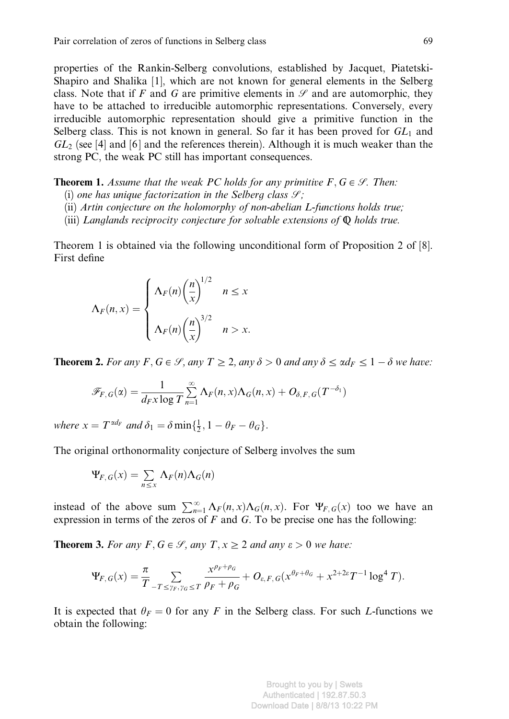properties of the Rankin-Selberg convolutions, established by Jacquet, Piatetski-Shapiro and Shalika [1], which are not known for general elements in the Selberg class. Note that if F and G are primitive elements in  $\mathscr S$  and are automorphic, they have to be attached to irreducible automorphic representations. Conversely, every irreducible automorphic representation should give a primitive function in the Selberg class. This is not known in general. So far it has been proved for  $GL_1$  and  $GL_2$  (see [4] and [6] and the references therein). Although it is much weaker than the strong PC, the weak PC still has important consequences.

**Theorem 1.** Assume that the weak PC holds for any primitive  $F, G \in \mathcal{G}$ . Then:

- (i) one has unique factorization in the Selberg class  $\mathcal{S}$ ;
- (ii) Artin conjecture on the holomorphy of non-abelian L-functions holds true;
- (iii) Langlands reciprocity conjecture for solvable extensions of  $\Phi$  holds true.

Theorem 1 is obtained via the following unconditional form of Proposition 2 of [8]. First define

$$
\Lambda_F(n, x) = \begin{cases} \Lambda_F(n) \left(\frac{n}{x}\right)^{1/2} & n \le x \\ \Lambda_F(n) \left(\frac{n}{x}\right)^{3/2} & n > x. \end{cases}
$$

**Theorem 2.** For any  $F, G \in \mathcal{S}$ , any  $T \geq 2$ , any  $\delta > 0$  and any  $\delta \leq \alpha d_F \leq 1 - \delta$  we have:

$$
\mathscr{F}_{F,G}(\alpha) = \frac{1}{d_F x \log T} \sum_{n=1}^{\infty} \Lambda_F(n,x) \Lambda_G(n,x) + O_{\delta,F,G}(T^{-\delta_1})
$$

where  $x = T^{\alpha d_F}$  and  $\delta_1 = \delta \min\{\frac{1}{2}, 1 - \theta_F - \theta_G\}.$ 

The original orthonormality conjecture of Selberg involves the sum

$$
\Psi_{F,G}(x) = \sum_{n \leq x} \Lambda_F(n) \Lambda_G(n)
$$

instead of the above sum  $\sum_{n=1}^{\infty} \Lambda_F(n, x) \Lambda_G(n, x)$ . For  $\Psi_{F, G}(x)$  too we have an expression in terms of the zeros of  $F$  and  $G$ . To be precise one has the following:

**Theorem 3.** For any F,  $G \in \mathcal{S}$ , any  $T, x \geq 2$  and any  $\varepsilon > 0$  we have:

$$
\Psi_{F,G}(x)=\frac{\pi}{T}\sum_{-T\leq\gamma_F,\gamma_G\leq T}\frac{x^{\rho_F+\rho_G}}{\rho_F+\rho_G}+O_{\varepsilon,F,G}(x^{\theta_F+\theta_G}+x^{2+2\varepsilon}T^{-1}\log^4T).
$$

It is expected that  $\theta_F = 0$  for any F in the Selberg class. For such L-functions we obtain the following: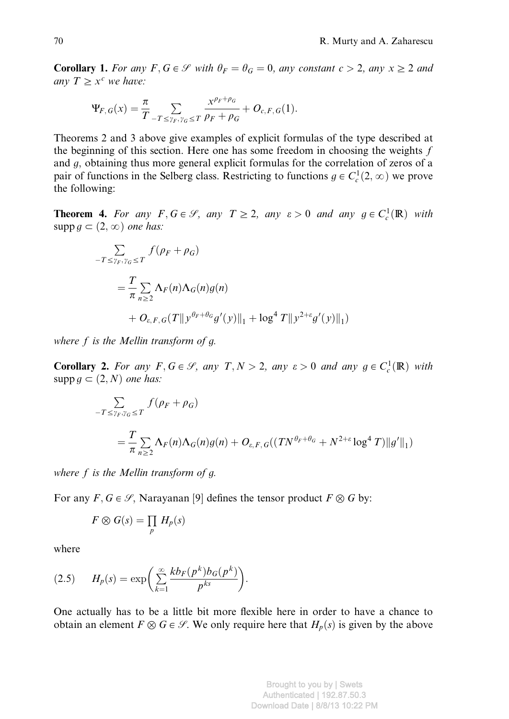**Corollary 1.** For any  $F, G \in \mathcal{S}$  with  $\theta_F = \theta_G = 0$ , any constant  $c > 2$ , any  $x \geq 2$  and any  $T \geq x^c$  we have:

$$
\Psi_{F,G}(x) = \frac{\pi}{T} \sum_{-T \leq \gamma_F, \gamma_G \leq T} \frac{x^{\rho_F + \rho_G}}{\rho_F + \rho_G} + O_{c,F,G}(1).
$$

Theorems 2 and 3 above give examples of explicit formulas of the type described at the beginning of this section. Here one has some freedom in choosing the weights  $f$ and g, obtaining thus more general explicit formulas for the correlation of zeros of a pair of functions in the Selberg class. Restricting to functions  $g \in C_c^1(2, \infty)$  we prove the following:

**Theorem 4.** For any  $F, G \in \mathcal{G}$ , any  $T \ge 2$ , any  $\varepsilon > 0$  and any  $g \in C_c^1(\mathbb{R})$  with supp  $q \subset (2, \infty)$  one has:

$$
\sum_{-T \le \gamma_F, \gamma_G \le T} f(\rho_F + \rho_G)
$$
\n
$$
= \frac{T}{\pi} \sum_{n \ge 2} \Lambda_F(n) \Lambda_G(n) g(n)
$$
\n
$$
+ O_{\varepsilon, F, G}(T \| y^{\theta_F + \theta_G} g'(y) \|_1 + \log^4 T \| y^{2 + \varepsilon} g'(y) \|_1)
$$

where  $f$  is the Mellin transform of  $g$ .

**Corollary 2.** For any  $F, G \in \mathcal{G}$ , any  $T, N > 2$ , any  $\varepsilon > 0$  and any  $g \in C_c^1(\mathbb{R})$  with supp  $g \subset (2, N)$  one has:

$$
\sum_{-T \leq \gamma_F, \gamma_G \leq T} f(\rho_F + \rho_G)
$$
\n
$$
= \frac{T}{\pi} \sum_{n \geq 2} \Lambda_F(n) \Lambda_G(n) g(n) + O_{\varepsilon, F, G}((TN^{\theta_F + \theta_G} + N^{2+\varepsilon} \log^4 T) \|g'\|_1)
$$

where  $f$  is the Mellin transform of  $g$ .

For any  $F, G \in \mathcal{S}$ , Narayanan [9] defines the tensor product  $F \otimes G$  by:

$$
F\otimes G(s)=\prod_p H_p(s)
$$

where

$$
(2.5) \tHp(s) = \exp\bigg(\sum_{k=1}^{\infty} \frac{kb_F(p^k)b_G(p^k)}{p^{ks}}\bigg).
$$

One actually has to be a little bit more flexible here in order to have a chance to obtain an element  $F \otimes G \in \mathcal{S}$ . We only require here that  $H_p(s)$  is given by the above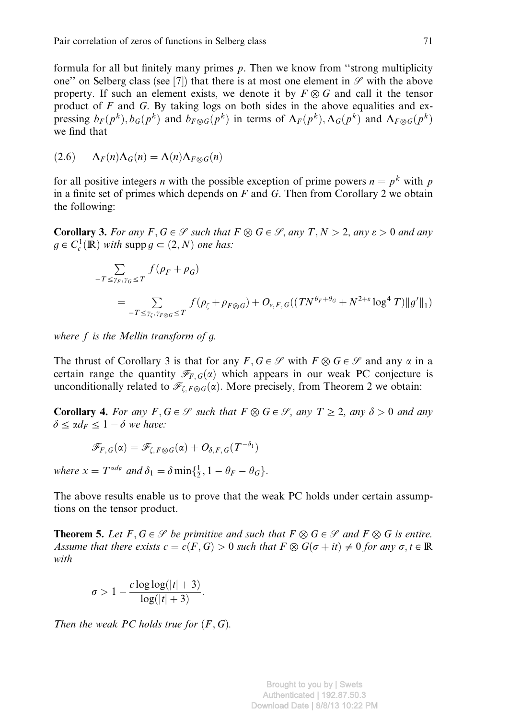formula for all but finitely many primes  $p$ . Then we know from "strong multiplicity one" on Selberg class (see [7]) that there is at most one element in  $\mathscr S$  with the above property. If such an element exists, we denote it by  $F \otimes G$  and call it the tensor product of  $F$  and  $G$ . By taking logs on both sides in the above equalities and expressing  $b_F(p^k)$ ,  $b_G(p^k)$  and  $b_{F\otimes G}(p^k)$  in terms of  $\Lambda_F(p^k)$ ,  $\Lambda_G(p^k)$  and  $\Lambda_{F\otimes G}(p^k)$ we find that

$$
(2.6) \qquad \Lambda_F(n)\Lambda_G(n) = \Lambda(n)\Lambda_{F\otimes G}(n)
$$

for all positive integers *n* with the possible exception of prime powers  $n = p^k$  with p in a finite set of primes which depends on  $F$  and  $G$ . Then from Corollary 2 we obtain the following:

**Corollary 3.** For any  $F, G \in \mathcal{S}$  such that  $F \otimes G \in \mathcal{S}$ , any  $T, N > 2$ , any  $\varepsilon > 0$  and any  $g \in C_c^1(\mathbb{R})$  with supp  $g \subset (2, N)$  one has:

$$
\sum_{-T \leq \gamma_F, \gamma_G \leq T} f(\rho_F + \rho_G)
$$
\n
$$
= \sum_{-T \leq \gamma_{\zeta}, \gamma_{F \otimes G} \leq T} f(\rho_{\zeta} + \rho_{F \otimes G}) + O_{\varepsilon, F, G}((TN^{\theta_F + \theta_G} + N^{2+\varepsilon} \log^4 T) \|g'\|_1)
$$

where  $f$  is the Mellin transform of  $g$ .

The thrust of Corollary 3 is that for any  $F, G \in \mathcal{S}$  with  $F \otimes G \in \mathcal{S}$  and any  $\alpha$  in a certain range the quantity  $\mathcal{F}_{F,G}(\alpha)$  which appears in our weak PC conjecture is unconditionally related to  $\mathcal{F}_{\zeta,F\otimes G}(\alpha)$ . More precisely, from Theorem 2 we obtain:

**Corollary 4.** For any  $F, G \in \mathcal{S}$  such that  $F \otimes G \in \mathcal{S}$ , any  $T \geq 2$ , any  $\delta > 0$  and any  $\delta \leq \alpha d_F \leq 1 - \delta$  we have:

$$
\mathscr{F}_{F,\,G}(\alpha)=\mathscr{F}_{\zeta,\,F\otimes G}(\alpha)+O_{\delta,\,F,\,G}(T^{-\delta_1})
$$

where  $x = T^{\alpha d_F}$  and  $\delta_1 = \delta \min\{\frac{1}{2}, 1 - \theta_F - \theta_G\}.$ 

The above results enable us to prove that the weak PC holds under certain assumptions on the tensor product.

**Theorem 5.** Let  $F, G \in \mathcal{S}$  be primitive and such that  $F \otimes G \in \mathcal{S}$  and  $F \otimes G$  is entire. Assume that there exists  $c = c(F, G) > 0$  such that  $F \otimes G(\sigma + it) \neq 0$  for any  $\sigma, t \in \mathbb{R}$ with

$$
\sigma > 1 - \frac{c \log \log(|t|+3)}{\log(|t|+3)}.
$$

Then the weak PC holds true for  $(F, G)$ .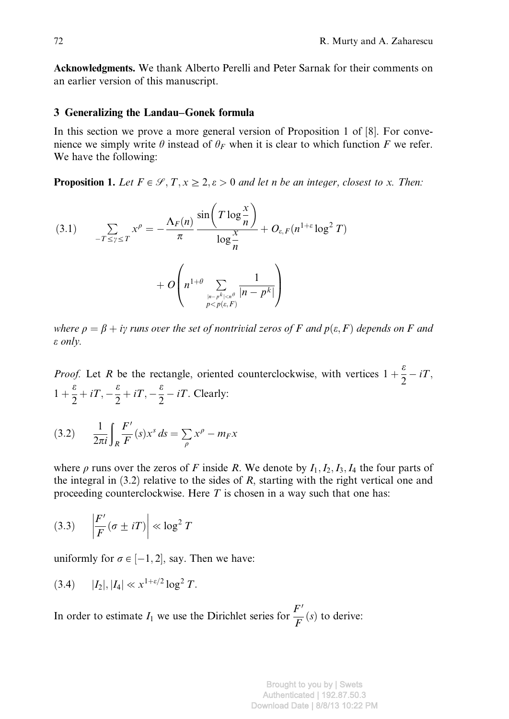Acknowledgments. We thank Alberto Perelli and Peter Sarnak for their comments on an earlier version of this manuscript.

# 3 Generalizing the Landau–Gonek formula

In this section we prove a more general version of Proposition 1 of [8]. For convenience we simply write  $\theta$  instead of  $\theta_F$  when it is clear to which function F we refer. We have the following:

**Proposition 1.** Let  $F \in \mathcal{S}, T, x \geq 2, \varepsilon > 0$  and let n be an integer, closest to x. Then:

(3.1) 
$$
\sum_{-T \leq \gamma \leq T} x^{\rho} = -\frac{\Lambda_F(n)}{\pi} \frac{\sin\left(T \log \frac{x}{n}\right)}{\log \frac{x}{n}} + O_{\varepsilon, F}(n^{1+\varepsilon} \log^2 T)
$$

$$
+ O\left(n^{1+\theta} \sum_{\substack{|n - p^k| < n \\ p < p(\varepsilon, F)}} \frac{1}{|n - p^k|}\right)
$$

where  $\rho = \beta + iy$  runs over the set of nontrivial zeros of F and  $p(\varepsilon, F)$  depends on F and e only.

*Proof.* Let R be the rectangle, oriented counterclockwise, with vertices  $1 + \frac{\varepsilon}{2} - iT$ ,  $1 + \frac{\varepsilon}{2} + iT$ ,  $-\frac{\varepsilon}{2} + iT$ ,  $-\frac{\varepsilon}{2} - iT$ . Clearly:

(3.2) 
$$
\frac{1}{2\pi i} \int_{R} \frac{F'}{F}(s) x^{s} ds = \sum_{\rho} x^{\rho} - m_{F} x
$$

where  $\rho$  runs over the zeros of F inside R. We denote by  $I_1, I_2, I_3, I_4$  the four parts of the integral in  $(3.2)$  relative to the sides of R, starting with the right vertical one and proceeding counterclockwise. Here  $T$  is chosen in a way such that one has:

$$
(3.3) \quad \left|\frac{F'}{F}(\sigma \pm iT)\right| \ll \log^2 T
$$

uniformly for  $\sigma \in [-1, 2]$ , say. Then we have:

$$
(3.4) \t |I_2|, |I_4| \ll x^{1+\varepsilon/2} \log^2 T.
$$

In order to estimate  $I_1$  we use the Dirichlet series for  $\frac{F'}{F}(s)$  to derive:

Brought to you by | Swets Authenticated | 192.87.50.3 Download Date | 8/8/13 10:22 PM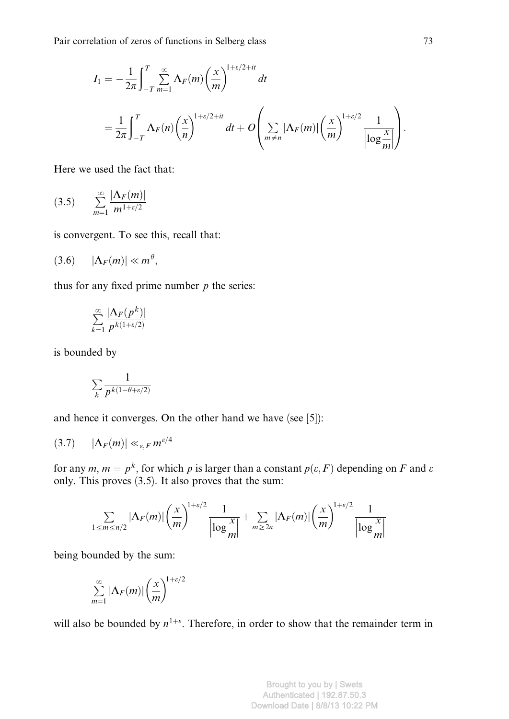$$
I_1 = -\frac{1}{2\pi} \int_{-T}^{T} \sum_{m=1}^{\infty} \Lambda_F(m) \left(\frac{x}{m}\right)^{1+\epsilon/2+it} dt
$$
  
= 
$$
\frac{1}{2\pi} \int_{-T}^{T} \Lambda_F(n) \left(\frac{x}{n}\right)^{1+\epsilon/2+it} dt + O\left(\sum_{m \neq n} |\Lambda_F(m)| \left(\frac{x}{m}\right)^{1+\epsilon/2} \frac{1}{\left|\log \frac{x}{m}\right|}\right).
$$

Here we used the fact that:

$$
(3.5) \qquad \sum_{m=1}^{\infty} \frac{|\Lambda_F(m)|}{m^{1+\varepsilon/2}}
$$

is convergent. To see this, recall that:

$$
(3.6) \qquad |\Lambda_F(m)| \ll m^{\theta},
$$

thus for any fixed prime number  $p$  the series:

$$
\sum_{k=1}^{\infty} \frac{|\Lambda_F(p^k)|}{p^{k(1+\varepsilon/2)}}
$$

is bounded by

$$
\sum_{k} \frac{1}{p^{k(1-\theta+\varepsilon/2)}}
$$

and hence it converges. On the other hand we have (see [5]):

$$
(3.7) \qquad |\Lambda_F(m)| \ll_{\varepsilon,F} m^{\varepsilon/4}
$$

for any  $m, m = p^k$ , for which p is larger than a constant  $p(\varepsilon, F)$  depending on F and  $\varepsilon$ only. This proves (3.5). It also proves that the sum:

$$
\sum_{1 \le m \le n/2} |\Lambda_F(m)| \left(\frac{x}{m}\right)^{1+\varepsilon/2} \frac{1}{\left|\log \frac{x}{m}\right|} + \sum_{m \ge 2n} |\Lambda_F(m)| \left(\frac{x}{m}\right)^{1+\varepsilon/2} \frac{1}{\left|\log \frac{x}{m}\right|}
$$

being bounded by the sum:

$$
\sum_{m=1}^{\infty} |\Lambda_F(m)| \left(\frac{x}{m}\right)^{1+\varepsilon/2}
$$

will also be bounded by  $n^{1+\epsilon}$ . Therefore, in order to show that the remainder term in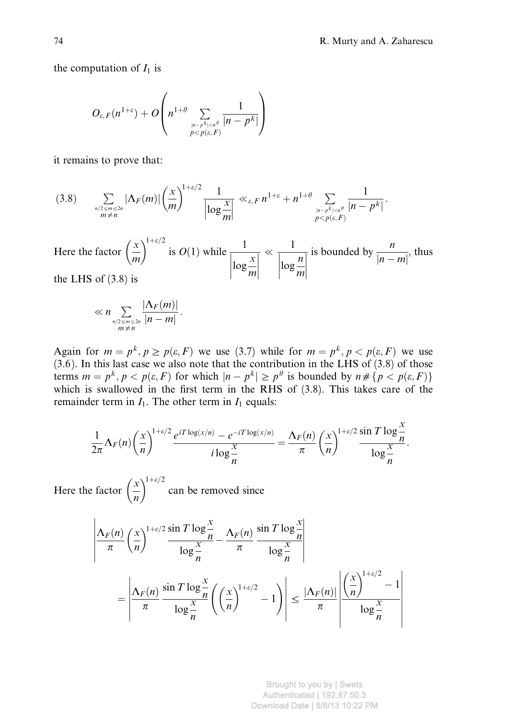the computation of  $I_1$  is

$$
O_{\varepsilon,F}(n^{1+\varepsilon})+O\left(n^{1+\theta}\sum_{|n-p^k|
$$

it remains to prove that:

$$
(3.8) \qquad \sum_{\substack{n/2 \le m \le 2n \\ m \ne n}} |\Lambda_F(m)| \left(\frac{x}{m}\right)^{1+\varepsilon/2} \frac{1}{\left|\log \frac{x}{m}\right|} \ll_{\varepsilon, F} n^{1+\varepsilon} + n^{1+\theta} \sum_{\substack{|n-p^k| < n^\theta \\ p < p(\varepsilon, F)}} \frac{1}{|n-p^k|}.
$$

Here the factor  $\left(\frac{x}{m}\right)$  $\left(\frac{x}{x}\right)^{1+\epsilon/2}$  is  $O(1)$  while  $\frac{1}{1+\epsilon/2}$  $\log \frac{x}{m}$  $\begin{array}{c} \begin{array}{c} \begin{array}{c} \end{array} \\ \begin{array}{c} \end{array} \end{array} \end{array}$  $\begin{array}{c} \hline \end{array}$  $\ll$ 1  $\log \frac{n}{m}$  $\begin{array}{c} \hline \end{array}$  $\begin{array}{c} \begin{array}{c} \begin{array}{c} \end{array}\\ \begin{array}{c} \end{array} \end{array} \end{array}$ is bounded by  $\frac{n}{|n-m|}$ , thus the LHS of (3.8) is

$$
\ll n \sum_{\substack{n/2 \le m \le 2n \\ m \ne n}} \frac{|\Lambda_F(m)|}{|n-m|}.
$$

Again for  $m = p^k$ ,  $p \ge p(\varepsilon, F)$  we use (3.7) while for  $m = p^k$ ,  $p < p(\varepsilon, F)$  we use  $(3.6)$ . In this last case we also note that the contribution in the LHS of  $(3.8)$  of those terms  $m = p^k$ ,  $p < p(\varepsilon, F)$  for which  $|n - p^k| \geq p^\theta$  is bounded by  $n \neq \{p < p(\varepsilon, F)\}$ which is swallowed in the first term in the RHS of  $(3.8)$ . This takes care of the remainder term in  $I_1$ . The other term in  $I_1$  equals:

$$
\frac{1}{2\pi}\Lambda_F(n)\left(\frac{x}{n}\right)^{1+\varepsilon/2}\frac{e^{iT\log(x/n)}-e^{-iT\log(x/n)}}{i\log\frac{x}{n}}=\frac{\Lambda_F(n)}{\pi}\left(\frac{x}{n}\right)^{1+\varepsilon/2}\frac{\sin T\log\frac{x}{n}}{\log\frac{x}{n}}.
$$

Here the factor  $\left(\frac{x}{n}\right)$  $\left(\frac{x}{x}\right)^{1+\epsilon/2}$  can be removed since

$$
\frac{\left|\Delta_F(n)\left(\frac{x}{n}\right)^{1+\varepsilon/2}\frac{\sin T \log\frac{x}{n}}{\log\frac{x}{n}} - \frac{\Delta_F(n)}{\pi} \frac{\sin T \log\frac{x}{n}}{\log\frac{x}{n}}\right|}{\left|\frac{\Delta_F(n)}{\pi} \frac{\sin T \log\frac{x}{n}}{\log\frac{x}{n}} \left(\left(\frac{x}{n}\right)^{1+\varepsilon/2} - 1\right)\right| \le \frac{\left|\Delta_F(n)\right|}{\pi} \frac{\left|\left(\frac{x}{n}\right)^{1+\varepsilon/2} - 1\right|}{\log\frac{x}{n}}
$$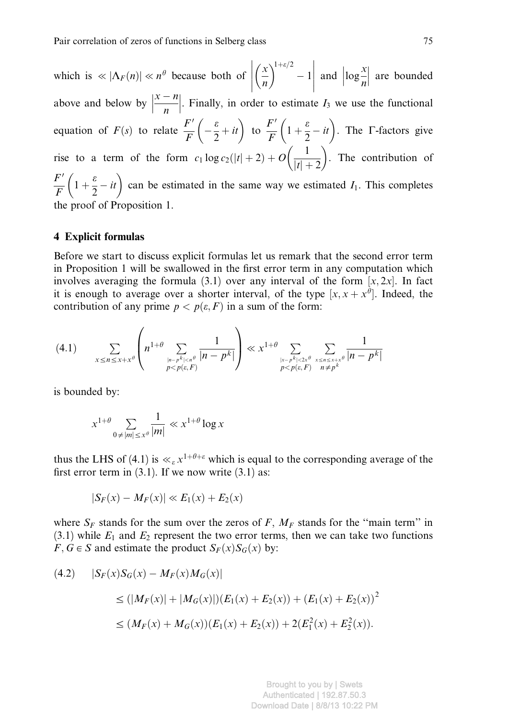which is  $\ll |\Lambda_F(n)| \ll n^{\theta}$  because both of  $\left| \left( \frac{x}{n} \right) \right|$  $\left(\frac{x}{x}\right)^{1+\epsilon/2}-1$  $\begin{array}{c} \begin{array}{c} \begin{array}{c} \end{array} \\ \begin{array}{c} \end{array} \end{array} \end{array}$ above and below by  $\left|\frac{x-n}{n}\right|$ . Finally, in order to estimate and  $\left| \log \frac{x}{n} \right|$     are bounded Finally, in order to estimate  $I_3$  we use the functional equation of  $F(s)$  to relate  $\frac{F'}{F} \left(-\frac{\varepsilon}{2} + it\right)$  to  $\frac{F'}{F}$  $\frac{F'}{F}\left(1+\frac{\varepsilon}{2}-it\right)$ . The  $\Gamma$ -factors give rise to a term of the form  $c_1 \log c_2(|t|+2) + O\left(\frac{1}{|t|+2}\right)$ . The contribution of  $F'$  $\frac{F'}{F}\left(1+\frac{\varepsilon}{2}-it\right)$  can be estimated in the same way we estimated  $I_1$ . This completes the proof of Proposition 1.

#### 4 Explicit formulas

Before we start to discuss explicit formulas let us remark that the second error term in Proposition 1 will be swallowed in the first error term in any computation which involves averaging the formula (3.1) over any interval of the form  $[x, 2x]$ . In fact it is enough to average over a shorter interval, of the type  $[x, x + x^{\theta}]$ . Indeed, the contribution of any prime  $p < p(\varepsilon, F)$  in a sum of the form:

$$
(4.1) \qquad \sum_{x \le n \le x+x^{\theta}} \left( n^{1+\theta} \sum_{\substack{|n-p^k| < n^{\theta} \\ p < p(\varepsilon, F)}} \frac{1}{|n-p^k|} \right) \ll x^{1+\theta} \sum_{\substack{|x-p^k| < 2x^{\theta} \\ p < p(\varepsilon, F)}} \sum_{\substack{x \le n \le x+x^{\theta} \\ n \ne p^k}} \frac{1}{|n-p^k|}
$$

is bounded by:

$$
x^{1+\theta} \sum_{0 \neq |m| \leq x^{\theta}} \frac{1}{|m|} \ll x^{1+\theta} \log x
$$

thus the LHS of (4.1) is  $\ll_{\varepsilon} x^{1+\theta+\varepsilon}$  which is equal to the corresponding average of the first error term in  $(3.1)$ . If we now write  $(3.1)$  as:

$$
|S_F(x) - M_F(x)| \ll E_1(x) + E_2(x)
$$

where  $S_F$  stands for the sum over the zeros of F,  $M_F$  stands for the "main term" in (3.1) while  $E_1$  and  $E_2$  represent the two error terms, then we can take two functions  $F, G \in S$  and estimate the product  $S_F(x)S_G(x)$  by:

$$
(4.2) \quad |S_F(x)S_G(x) - M_F(x)M_G(x)|
$$
  
\n
$$
\leq (|M_F(x)| + |M_G(x)|)(E_1(x) + E_2(x)) + (E_1(x) + E_2(x))^2
$$
  
\n
$$
\leq (M_F(x) + M_G(x))(E_1(x) + E_2(x)) + 2(E_1^2(x) + E_2^2(x)).
$$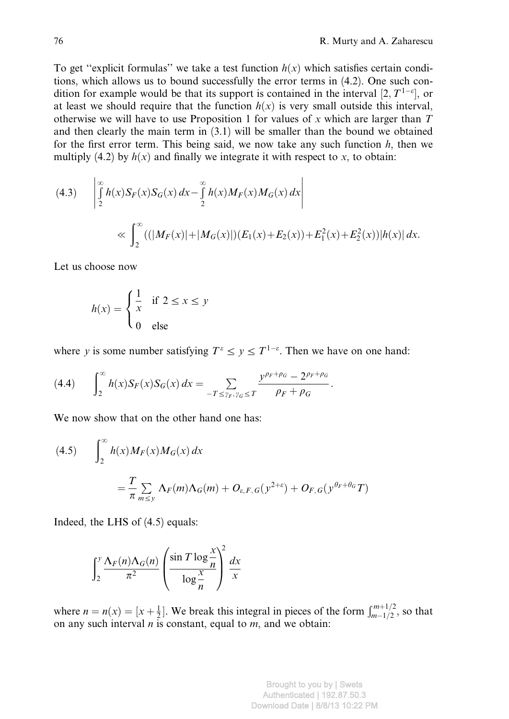To get "explicit formulas" we take a test function  $h(x)$  which satisfies certain conditions, which allows us to bound successfully the error terms in (4.2). One such condition for example would be that its support is contained in the interval  $[2, T^{1-\varepsilon}]$ , or at least we should require that the function  $h(x)$  is very small outside this interval, otherwise we will have to use Proposition 1 for values of x which are larger than  $T$ and then clearly the main term in (3.1) will be smaller than the bound we obtained for the first error term. This being said, we now take any such function  $h$ , then we multiply (4.2) by  $h(x)$  and finally we integrate it with respect to x, to obtain:

(4.3) 
$$
\left| \int_{2}^{\infty} h(x) S_F(x) S_G(x) dx - \int_{2}^{\infty} h(x) M_F(x) M_G(x) dx \right|
$$
  

$$
\ll \int_{2}^{\infty} ((|M_F(x)| + |M_G(x)|) (E_1(x) + E_2(x)) + E_1^2(x) + E_2^2(x)) |h(x)| dx.
$$

Let us choose now

$$
h(x) = \begin{cases} \frac{1}{x} & \text{if } 2 \le x \le y \\ 0 & \text{else} \end{cases}
$$

where y is some number satisfying  $T^{\varepsilon} \le y \le T^{1-\varepsilon}$ . Then we have on one hand:

$$
(4.4) \qquad \int_{2}^{\infty} h(x) S_{F}(x) S_{G}(x) \, dx = \sum_{-T \leq \gamma_{F}, \gamma_{G} \leq T} \frac{y^{\rho_{F} + \rho_{G}} - 2^{\rho_{F} + \rho_{G}}}{\rho_{F} + \rho_{G}}.
$$

We now show that on the other hand one has:

(4.5) 
$$
\int_2^{\infty} h(x)M_F(x)M_G(x) dx
$$

$$
= \frac{T}{\pi} \sum_{m \le y} \Lambda_F(m) \Lambda_G(m) + O_{\varepsilon, F, G}(y^{2+\varepsilon}) + O_{F, G}(y^{\theta_F + \theta_G}T)
$$

Indeed, the LHS of (4.5) equals:

$$
\int_2^y \frac{\Lambda_F(n)\Lambda_G(n)}{\pi^2} \left(\frac{\sin T \log \frac{x}{n}}{\log \frac{x}{n}}\right)^2 \frac{dx}{x}
$$

where  $n = n(x) = [x + \frac{1}{2}]$ . We break this integral in pieces of the form  $\int_{m-1/2}^{m+1/2}$ , so that on any such interval  $n$  is constant, equal to  $m$ , and we obtain: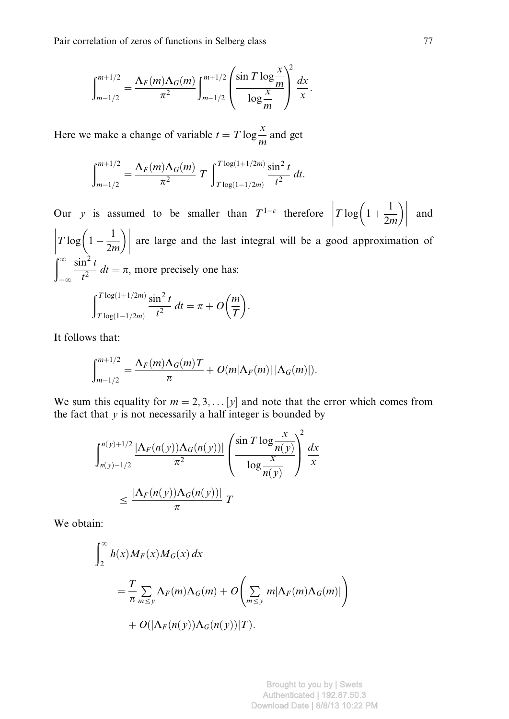$$
\int_{m-1/2}^{m+1/2} = \frac{\Lambda_F(m)\Lambda_G(m)}{\pi^2} \int_{m-1/2}^{m+1/2} \left( \frac{\sin T \log \frac{x}{m}}{\log \frac{x}{m}} \right)^2 \frac{dx}{x}.
$$

Here we make a change of variable  $t = T \log \frac{x}{m}$  and get

$$
\int_{m-1/2}^{m+1/2} = \frac{\Lambda_F(m)\Lambda_G(m)}{\pi^2} T \int_{T\log(1-1/2m)}^{T\log(1+1/2m)} \frac{\sin^2 t}{t^2} dt.
$$

Our y is assumed to be smaller than  $T^{1-\epsilon}$  therefore  $T \log \left( 1 + \frac{1}{2} \right)$  $T\log\left(1+\frac{1}{2m}\right)$  $\begin{array}{c} \hline \end{array}$ and  $T \log \left( 1 - \frac{1}{2m} \right)$  $\begin{array}{c} \begin{array}{c} \begin{array}{c} \end{array}\\ \begin{array}{c} \end{array} \end{array} \end{array}$ are large and the last integral will be a good approximation of  $\int_{-\infty}^{\infty}$  $-\infty$  $\sin^2 t$  $\frac{d\mathbf{r}}{dt^2}$  dt =  $\pi$ , more precisely one has:  $\int_0^{T \log(1+1/2m)} \sin^2 t$ 

$$
\int_{T\log(1-1/2m)}^{T\log(1+1/2m)} \frac{\sin^2 t}{t^2} dt = \pi + O\left(\frac{m}{T}\right).
$$

It follows that:

$$
\int_{m-1/2}^{m+1/2} = \frac{\Lambda_F(m)\Lambda_G(m)T}{\pi} + O(m|\Lambda_F(m)| |\Lambda_G(m)|).
$$

We sum this equality for  $m = 2, 3, \ldots |y|$  and note that the error which comes from the fact that  $y$  is not necessarily a half integer is bounded by

$$
\int_{n(y)-1/2}^{n(y)+1/2} \frac{|\Lambda_F(n(y))\Lambda_G(n(y))|}{\pi^2} \left(\frac{\sin T \log \frac{x}{n(y)}}{\log \frac{x}{n(y)}}\right)^2 \frac{dx}{x}
$$

$$
\leq \frac{|\Lambda_F(n(y))\Lambda_G(n(y))|}{\pi} T
$$

We obtain:

$$
\int_{2}^{\infty} h(x)M_{F}(x)M_{G}(x) dx
$$
  
= 
$$
\frac{T}{\pi} \sum_{m \le y} \Lambda_{F}(m) \Lambda_{G}(m) + O\left(\sum_{m \le y} m |\Lambda_{F}(m) \Lambda_{G}(m)|\right)
$$
  
+ 
$$
O(|\Lambda_{F}(n(y)) \Lambda_{G}(n(y))|T).
$$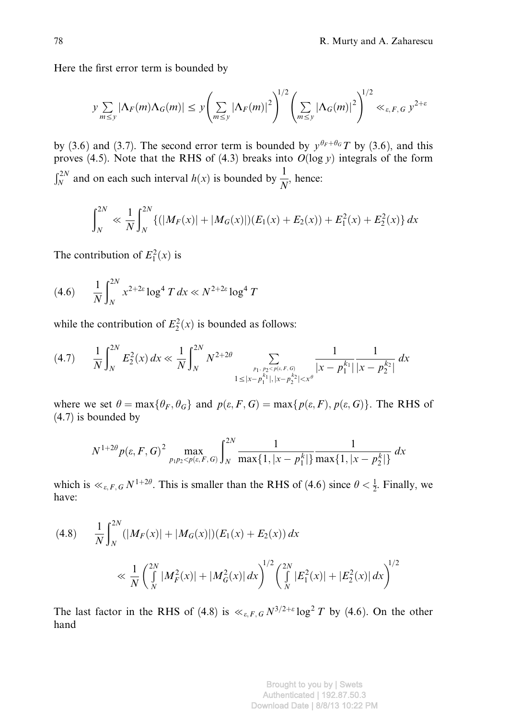Here the first error term is bounded by

$$
y \sum_{m \le y} |\Lambda_F(m) \Lambda_G(m)| \le y \left( \sum_{m \le y} |\Lambda_F(m)|^2 \right)^{1/2} \left( \sum_{m \le y} |\Lambda_G(m)|^2 \right)^{1/2} \ll_{\varepsilon, F, G} y^{2+\varepsilon}
$$

by (3.6) and (3.7). The second error term is bounded by  $y^{\theta_F+\theta_G}T$  by (3.6), and this proves (4.5). Note that the RHS of (4.3) breaks into  $O(\log y)$  integrals of the form  $\int_N^{2N}$  and on each such interval  $h(x)$  is bounded by  $\frac{1}{N}$ , hence:

$$
\int_{N}^{2N} \ll \frac{1}{N} \int_{N}^{2N} \{ (|M_{F}(x)| + |M_{G}(x)|)(E_{1}(x) + E_{2}(x)) + E_{1}^{2}(x) + E_{2}^{2}(x) \} dx
$$

The contribution of  $E_1^2(x)$  is

$$
(4.6) \qquad \frac{1}{N} \int_{N}^{2N} x^{2+2\varepsilon} \log^4 T \, dx \ll N^{2+2\varepsilon} \log^4 T
$$

while the contribution of  $E_2^2(x)$  is bounded as follows:

$$
(4.7) \qquad \frac{1}{N} \int_{N}^{2N} E_{2}^{2}(x) \, dx \ll \frac{1}{N} \int_{N}^{2N} N^{2+2\theta} \sum_{\substack{p_{1}, p_{2} \le p(x, F, G) \\ 1 \le |x - p_{1}^{k_{1}}|, |x - p_{2}^{k_{2}}| < x^{\theta}}} \frac{1}{|x - p_{1}^{k_{1}}|} \frac{1}{|x - p_{2}^{k_{2}}|} \, dx
$$

where we set  $\theta = \max{\{\theta_F, \theta_G\}}$  and  $p(\varepsilon, F, G) = \max{\{p(\varepsilon, F), p(\varepsilon, G)\}}$ . The RHS of (4.7) is bounded by

$$
N^{1+2\theta}p(\varepsilon, F, G)^2 \max_{p_1p_2 < p(\varepsilon, F, G)} \int_N^{2N} \frac{1}{\max\{1, |x - p_1^k|\}} \frac{1}{\max\{1, |x - p_2^k|\}} dx
$$

which is  $\ll_{\varepsilon,F,G} N^{1+2\theta}$ . This is smaller than the RHS of (4.6) since  $\theta < \frac{1}{2}$ . Finally, we have:

$$
(4.8) \qquad \frac{1}{N} \int_{N}^{2N} (|M_F(x)| + |M_G(x)|) (E_1(x) + E_2(x)) \, dx
$$
\n
$$
\ll \frac{1}{N} \left( \int_{N}^{2N} |M_F^2(x)| + |M_G^2(x)| \, dx \right)^{1/2} \left( \int_{N}^{2N} |E_1^2(x)| + |E_2^2(x)| \, dx \right)^{1/2}
$$

The last factor in the RHS of (4.8) is  $\ll_{\varepsilon,F,G} N^{3/2+\varepsilon} \log^2 T$  by (4.6). On the other hand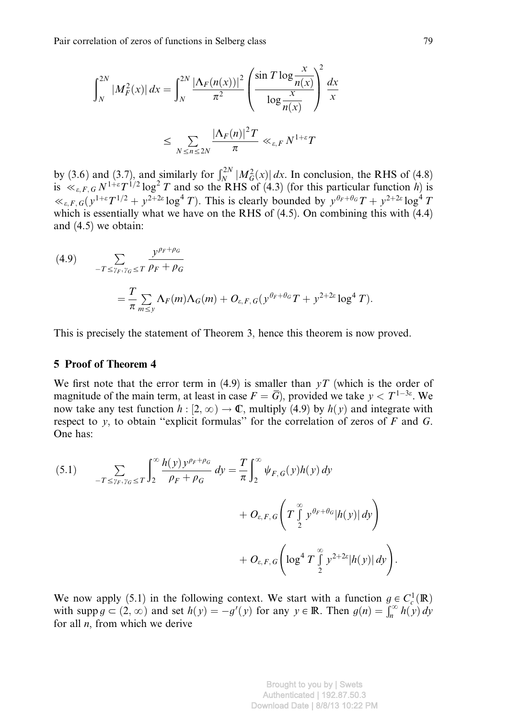$$
\int_{N}^{2N} |M_F^2(x)| dx = \int_{N}^{2N} \frac{|\Lambda_F(n(x))|^2}{\pi^2} \left( \frac{\sin T \log \frac{x}{n(x)}}{\log \frac{x}{n(x)}} \right)^2 \frac{dx}{x}
$$

$$
\leq \sum_{N \leq n \leq 2N} \frac{|\Lambda_F(n)|^2 T}{\pi} \ll_{\varepsilon, F} N^{1+\varepsilon} T
$$

by (3.6) and (3.7), and similarly for  $\int_N^{2N} |M_G^2(x)| dx$ . In conclusion, the RHS of (4.8) is  $\ll_{\varepsilon,F,G} N^{1+\varepsilon} T^{1/2} \log^2 T$  and so the RHS of (4.3) (for this particular function h) is  $\ll_{\varepsilon,F,G}(y^{1+\varepsilon}T^{1/2}+y^{2+2\varepsilon}\log^4 T)$ . This is clearly bounded by  $y^{\theta_F+\theta_G}T+y^{2+2\varepsilon}\log^4 T$ which is essentially what we have on the RHS of  $(4.5)$ . On combining this with  $(4.4)$ and (4.5) we obtain:

(4.9) 
$$
\sum_{-T \leq \gamma_F, \gamma_G \leq T} \frac{y^{\rho_F + \rho_G}}{\rho_F + \rho_G}
$$

$$
= \frac{T}{\pi} \sum_{m \leq y} \Lambda_F(m) \Lambda_G(m) + O_{\varepsilon, F, G} (y^{\theta_F + \theta_G} T + y^{2+2\varepsilon} \log^4 T).
$$

This is precisely the statement of Theorem 3, hence this theorem is now proved.

# 5 Proof of Theorem 4

We first note that the error term in (4.9) is smaller than  $yT$  (which is the order of magnitude of the main term, at least in case  $F = \overline{G}$ ), provided we take  $y < T^{1-3\varepsilon}$ . We now take any test function  $h : [2, \infty) \to \mathbb{C}$ , multiply (4.9) by  $h(y)$  and integrate with respect to y, to obtain "explicit formulas" for the correlation of zeros of  $F$  and  $G$ . One has:

$$
(5.1) \qquad \sum_{-T \leq \gamma_F, \gamma_G \leq T} \int_2^{\infty} \frac{h(y) y^{\rho_F + \rho_G}}{\rho_F + \rho_G} dy = \frac{T}{\pi} \int_2^{\infty} \psi_{F,G}(y) h(y) dy + O_{\varepsilon, F, G} \left( T \int_2^{\infty} y^{\rho_F + \theta_G} |h(y)| dy \right) + O_{\varepsilon, F, G} \left( \log^4 T \int_2^{\infty} y^{2+2\varepsilon} |h(y)| dy \right).
$$

We now apply (5.1) in the following context. We start with a function  $g \in C_c^1(\mathbb{R})$ with supp  $g \subset (2, \infty)$  and set  $h(y) = -g'(y)$  for any  $y \in \mathbb{R}$ . Then  $g(n) = \int_n^{\infty} h(y) dy$ for all  $n$ , from which we derive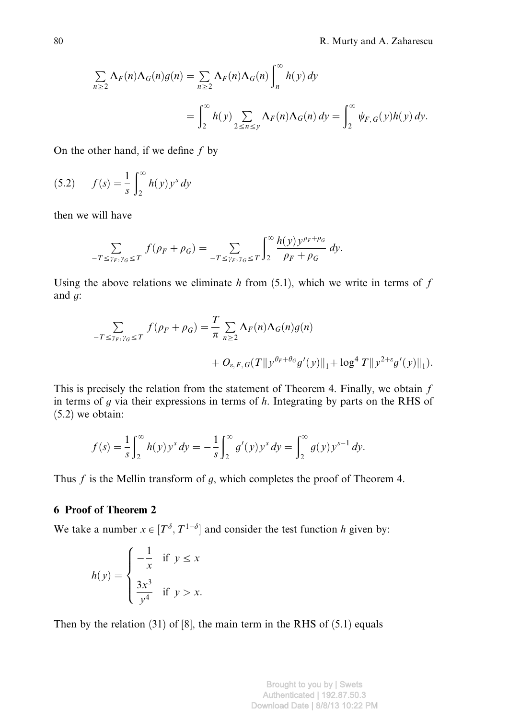$$
\sum_{n\geq 2} \Lambda_F(n) \Lambda_G(n) g(n) = \sum_{n\geq 2} \Lambda_F(n) \Lambda_G(n) \int_n^{\infty} h(y) dy
$$
  
= 
$$
\int_2^{\infty} h(y) \sum_{2 \leq n \leq y} \Lambda_F(n) \Lambda_G(n) dy = \int_2^{\infty} \psi_{F,G}(y) h(y) dy.
$$

On the other hand, if we define  $f$  by

(5.2) 
$$
f(s) = \frac{1}{s} \int_{2}^{\infty} h(y) y^{s} dy
$$

then we will have

$$
\sum_{-T \le \gamma_F, \gamma_G \le T} f(\rho_F + \rho_G) = \sum_{-T \le \gamma_F, \gamma_G \le T} \int_2^{\infty} \frac{h(y) y^{\rho_F + \rho_G}}{\rho_F + \rho_G} dy.
$$

Using the above relations we eliminate  $h$  from (5.1), which we write in terms of  $f$ and g:

$$
\sum_{-T \le \gamma_F, \gamma_G \le T} f(\rho_F + \rho_G) = \frac{T}{\pi} \sum_{n \ge 2} \Lambda_F(n) \Lambda_G(n) g(n) + O_{\varepsilon, F, G}(T \| y^{\theta_F + \theta_G} g'(y) \|_1 + \log^4 T \| y^{2+\varepsilon} g'(y) \|_1).
$$

This is precisely the relation from the statement of Theorem 4. Finally, we obtain  $f$ in terms of  $g$  via their expressions in terms of  $h$ . Integrating by parts on the RHS of (5.2) we obtain:

$$
f(s) = \frac{1}{s} \int_2^{\infty} h(y) y^s dy = -\frac{1}{s} \int_2^{\infty} g'(y) y^s dy = \int_2^{\infty} g(y) y^{s-1} dy.
$$

Thus  $f$  is the Mellin transform of  $g$ , which completes the proof of Theorem 4.

# 6 Proof of Theorem 2

We take a number  $x \in [T^{\delta}, T^{1-\delta}]$  and consider the test function h given by:

$$
h(y) = \begin{cases} -\frac{1}{x} & \text{if } y \le x \\ \frac{3x^3}{y^4} & \text{if } y > x. \end{cases}
$$

Then by the relation (31) of [8], the main term in the RHS of (5.1) equals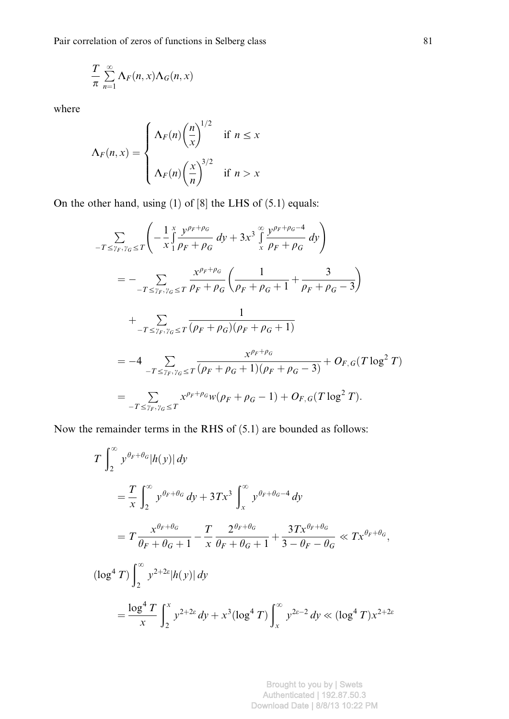Pair correlation of zeros of functions in Selberg class 81

$$
\frac{T}{\pi}\sum_{n=1}^{\infty}\Lambda_F(n,x)\Lambda_G(n,x)
$$

where

$$
\Lambda_F(n, x) = \begin{cases} \Lambda_F(n) \left(\frac{n}{x}\right)^{1/2} & \text{if } n \le x \\ \Lambda_F(n) \left(\frac{x}{n}\right)^{3/2} & \text{if } n > x \end{cases}
$$

On the other hand, using (1) of [8] the LHS of (5.1) equals:

$$
\sum_{-T \leq \gamma_F, \gamma_G \leq T} \left( -\frac{1}{x} \int_{1}^{x} \frac{y^{\rho_F + \rho_G}}{\rho_F + \rho_G} dy + 3x^3 \int_{x}^{\infty} \frac{y^{\rho_F + \rho_G - 4}}{\rho_F + \rho_G} dy \right)
$$
\n
$$
= -\sum_{-T \leq \gamma_F, \gamma_G \leq T} \frac{x^{\rho_F + \rho_G}}{\rho_F + \rho_G} \left( \frac{1}{\rho_F + \rho_G + 1} + \frac{3}{\rho_F + \rho_G - 3} \right)
$$
\n
$$
+ \sum_{-T \leq \gamma_F, \gamma_G \leq T} \frac{1}{(\rho_F + \rho_G)(\rho_F + \rho_G + 1)}
$$
\n
$$
= -4 \sum_{-T \leq \gamma_F, \gamma_G \leq T} \frac{x^{\rho_F + \rho_G}}{(\rho_F + \rho_G + 1)(\rho_F + \rho_G - 3)} + O_{F,G}(T \log^2 T)
$$
\n
$$
= \sum_{-T \leq \gamma_F, \gamma_G \leq T} x^{\rho_F + \rho_G} w(\rho_F + \rho_G - 1) + O_{F,G}(T \log^2 T).
$$

Now the remainder terms in the RHS of (5.1) are bounded as follows:

$$
T \int_{2}^{\infty} y^{\theta_{F} + \theta_{G}} |h(y)| dy
$$
  
\n
$$
= \frac{T}{x} \int_{2}^{\infty} y^{\theta_{F} + \theta_{G}} dy + 3Tx^{3} \int_{x}^{\infty} y^{\theta_{F} + \theta_{G} - 4} dy
$$
  
\n
$$
= T \frac{x^{\theta_{F} + \theta_{G}}}{\theta_{F} + \theta_{G} + 1} - \frac{T}{x} \frac{2^{\theta_{F} + \theta_{G}}}{\theta_{F} + \theta_{G} + 1} + \frac{3Tx^{\theta_{F} + \theta_{G}}}{3 - \theta_{F} - \theta_{G}} \ll Tx^{\theta_{F} + \theta_{G}},
$$
  
\n
$$
(\log^{4} T) \int_{2}^{\infty} y^{2 + 2\epsilon} |h(y)| dy
$$
  
\n
$$
= \frac{\log^{4} T}{x} \int_{2}^{x} y^{2 + 2\epsilon} dy + x^{3} (\log^{4} T) \int_{x}^{\infty} y^{2\epsilon - 2} dy \ll (\log^{4} T) x^{2 + 2\epsilon}
$$

Brought to you by | Swets Authenticated | 192.87.50.3 Download Date | 8/8/13 10:22 PM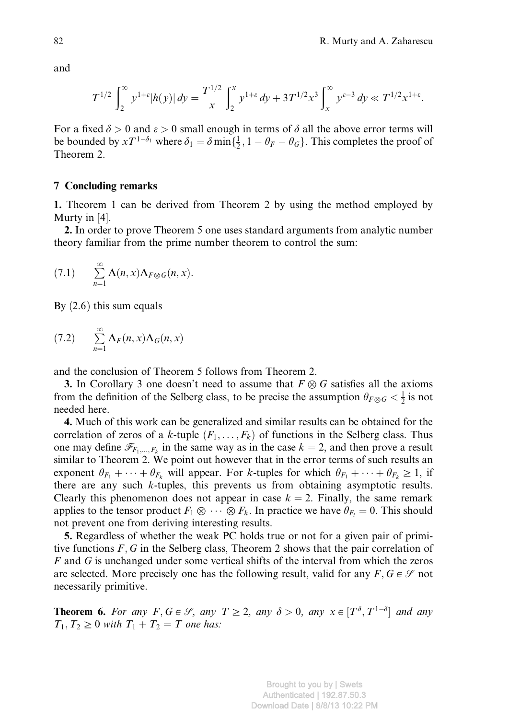and

$$
T^{1/2} \int_2^{\infty} y^{1+\varepsilon} |h(y)| dy = \frac{T^{1/2}}{x} \int_2^x y^{1+\varepsilon} dy + 3T^{1/2} x^3 \int_x^{\infty} y^{\varepsilon-3} dy \ll T^{1/2} x^{1+\varepsilon}.
$$

For a fixed  $\delta > 0$  and  $\varepsilon > 0$  small enough in terms of  $\delta$  all the above error terms will be bounded by  $xT^{1-\delta_1}$  where  $\delta_1 = \delta \min\{\frac{1}{2}, 1 - \theta_F - \theta_G\}$ . This completes the proof of Theorem 2.

# 7 Concluding remarks

1. Theorem 1 can be derived from Theorem 2 by using the method employed by Murty in [4].

2. In order to prove Theorem 5 one uses standard arguments from analytic number theory familiar from the prime number theorem to control the sum:

$$
(7.1) \qquad \sum_{n=1}^{\infty} \Lambda(n,x) \Lambda_{F \otimes G}(n,x).
$$

By  $(2.6)$  this sum equals

$$
(7.2) \qquad \sum_{n=1}^{\infty} \Lambda_F(n,x) \Lambda_G(n,x)
$$

and the conclusion of Theorem 5 follows from Theorem 2.

**3.** In Corollary 3 one doesn't need to assume that  $F \otimes G$  satisfies all the axioms from the definition of the Selberg class, to be precise the assumption  $\theta_{F\otimes G} < \frac{1}{2}$  is not needed here.

4. Much of this work can be generalized and similar results can be obtained for the correlation of zeros of a k-tuple  $(F_1, \ldots, F_k)$  of functions in the Selberg class. Thus one may define  $\mathcal{F}_{F_1,\dots,F_k}$  in the same way as in the case  $k = 2$ , and then prove a result similar to Theorem 2. We point out however that in the error terms of such results an exponent  $\theta_{F_1} + \cdots + \theta_{F_k}$  will appear. For k-tuples for which  $\theta_{F_1} + \cdots + \theta_{F_k} \ge 1$ , if there are any such k-tuples, this prevents us from obtaining asymptotic results. Clearly this phenomenon does not appear in case  $k = 2$ . Finally, the same remark applies to the tensor product  $F_1 \otimes \cdots \otimes F_k$ . In practice we have  $\theta_{F_i} = 0$ . This should not prevent one from deriving interesting results.

5. Regardless of whether the weak PC holds true or not for a given pair of primitive functions  $F$ ,  $G$  in the Selberg class, Theorem 2 shows that the pair correlation of  $F$  and  $G$  is unchanged under some vertical shifts of the interval from which the zeros are selected. More precisely one has the following result, valid for any  $F, G \in \mathcal{S}$  not necessarily primitive.

**Theorem 6.** For any  $F, G \in \mathcal{S}$ , any  $T \ge 2$ , any  $\delta > 0$ , any  $x \in [T^{\delta}, T^{1-\delta}]$  and any  $T_1, T_2 \geq 0$  with  $T_1 + T_2 = T$  one has: